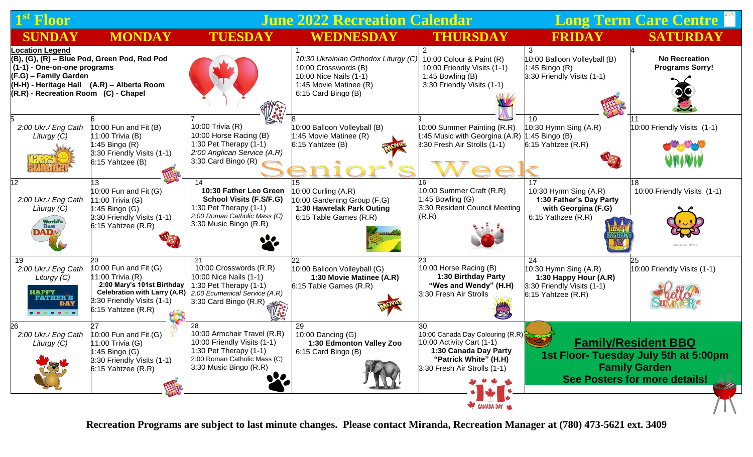| 1 <sup>st</sup> Floor                                                                                                                                                                                                |                                                                                                                                                                        | <b>June 2022 Recreation Calendar</b>                                                                                                               |                                                                                                                                         |                                                                                                                                                       | <b>Long Term Care Centre &amp;  </b>                                                                                                         |                                                |
|----------------------------------------------------------------------------------------------------------------------------------------------------------------------------------------------------------------------|------------------------------------------------------------------------------------------------------------------------------------------------------------------------|----------------------------------------------------------------------------------------------------------------------------------------------------|-----------------------------------------------------------------------------------------------------------------------------------------|-------------------------------------------------------------------------------------------------------------------------------------------------------|----------------------------------------------------------------------------------------------------------------------------------------------|------------------------------------------------|
| <b>SUNDAY</b>                                                                                                                                                                                                        | <b>MONDAY</b>                                                                                                                                                          | <b>TUESDAY</b>                                                                                                                                     | <b>WEDNESDAY</b>                                                                                                                        | <b>THURSDAY</b>                                                                                                                                       | <b>FRIDAY</b>                                                                                                                                | <b>SATURDAY</b>                                |
| <b>Location Legend</b><br>(B), (G), (R) - Blue Pod, Green Pod, Red Pod<br>(1-1) - One-on-one programs<br>(F.G) - Family Garden<br>(H-H) - Heritage Hall (A.R) – Alberta Room<br>(R.R) - Recreation Room (C) - Chapel |                                                                                                                                                                        |                                                                                                                                                    | 10:30 Ukrainian Orthodox Liturgy (C)<br>10:00 Crosswords (B)<br>10:00 Nice Nails (1-1)<br>1:45 Movie Matinee (R)<br>6:15 Card Bingo (B) | 10:00 Colour & Paint (R)<br>10:00 Friendly Visits (1-1)<br>1:45 Bowling (B)<br>3:30 Friendly Visits (1-1)                                             | 3<br>10:00 Balloon Volleyball (B)<br>$1:45$ Bingo (R)<br>3:30 Friendly Visits (1-1)                                                          | <b>No Recreation</b><br><b>Programs Sorry!</b> |
| 2:00 Ukr./ Eng Cath<br>Liturgy (C)                                                                                                                                                                                   | 10:00 Fun and Fit $(B)$<br>11:00 Trivia (B)<br>$1:45$ Bingo (R)<br>3:30 Friendly Visits (1-1)<br>6:15 Yahtzee (B)                                                      | 10:00 Trivia (R)<br>10:00 Horse Racing (B)<br>1:30 Pet Therapy $(1-1)$<br>2:00 Anglican Service (A.R)<br>3:30 Card Bingo (R)                       | 10:00 Balloon Volleyball (B)<br>1:45 Movie Matinee (R)<br>6:15 Yahtzee (B)                                                              | 10:00 Summer Painting (R.R)<br>:45 Music with Georgina (A.R)<br>8:30 Fresh Air Strolls (1-1)                                                          | 10<br>$10:30$ Hymn Sing $(A.R)$<br>$1:45$ Bingo (B)<br>6:15 Yahtzee (R.R)                                                                    | 10:00 Friendly Visits (1-1)                    |
| 2:00 Ukr./ Eng Cath<br>Liturgy (C)<br>World's<br>DAD                                                                                                                                                                 | $10:00$ Fun and Fit (G)<br>11:00 Trivia (G)<br>$1:45$ Bingo $(G)$<br>3:30 Friendly Visits (1-1)<br>6:15 Yahtzee (R.R)                                                  | 10:30 Father Leo Green<br><b>School Visits (F.S/F.G)</b><br>:30 Pet Therapy (1-1)<br>2:00 Roman Catholic Mass (C)<br>3:30 Music Bingo (R.R)        | 10:00 Curling (A.R)<br>10:00 Gardening Group (F.G)<br>1:30 Hawrelak Park Outing<br>6:15 Table Games (R.R)                               | 10:00 Summer Craft (R.R)<br>1:45 Bowling $(G)$<br>3:30 Resident Council Meeting<br>(R.R)                                                              | 10:30 Hymn Sing (A.R)<br>1:30 Father's Day Party<br>with Georgina (F.G)<br>6:15 Yathzee (R.R)                                                | 10:00 Friendly Visits (1-1)                    |
| 19<br>2:00 Ukr./ Eng Cath<br>Liturgy (C)<br><b>HAPPY</b><br><b>FATHER'S</b><br><b>DAY</b><br>.                                                                                                                       | 10:00 Fun and Fit $(G)$<br>11:00 Trivia $(R)$<br>2:00 Mary's 101st Birthday<br><b>Celebration with Larry (A.R)</b><br>3:30 Friendly Visits (1-1)<br>6:15 Yahtzee (R.R) | 21<br>10:00 Crosswords (R.R)<br>10:00 Nice Nails (1-1)<br>:30 Pet Therapy (1-1)<br>2:00 Ecumenical Service (A.R)<br>3:30 Card Bingo (R.R)          | 10:00 Balloon Volleyball (G)<br>1:30 Movie Matinee (A.R)<br>6:15 Table Games (R.R)                                                      | 10:00 Horse Racing (B)<br>1:30 Birthday Party<br>"Wes and Wendy" (H.H)<br>3:30 Fresh Air Strolls<br>E                                                 | 24<br>$10:30$ Hymn Sing (A.R)<br>1:30 Happy Hour (A.R)<br>3:30 Friendly Visits (1-1)<br>6:15 Yahtzee (R.R)                                   | 10:00 Friendly Visits (1-1)                    |
| 26<br>2:00 Ukr./ Eng Cath<br>Liturgy (C)                                                                                                                                                                             | 10:00 Fun and Fit $(G)$<br>11:00 Trivia (G)<br>1:45 Bingo (G)<br>3:30 Friendly Visits (1-1)<br>6:15 Yahtzee (R.R)<br>開中                                                | 10:00 Armchair Travel (R.R)<br>10:00 Friendly Visits (1-1)<br>$1:30$ Pet Therapy $(1-1)$<br>2:00 Roman Catholic Mass (C)<br>3:30 Music Bingo (R.R) | 29<br>10:00 Dancing (G)<br>1:30 Edmonton Valley Zoo<br>6:15 Card Bingo (B)                                                              | 30<br>10:00 Canada Day Colouring (R.R)<br>10:00 Activity Cart (1-1)<br>1:30 Canada Day Party<br>"Patrick White" (H.H)<br>3:30 Fresh Air Strolls (1-1) | <b>Family/Resident BBQ</b><br>1st Floor- Tuesday July 5th at 5:00pm<br><b>Family Garden</b><br>See Posters for more details!<br><b>RATTE</b> |                                                |
|                                                                                                                                                                                                                      |                                                                                                                                                                        |                                                                                                                                                    |                                                                                                                                         | CANADA DAY                                                                                                                                            |                                                                                                                                              |                                                |

**Recreation Programs are subject to last minute changes. Please contact Miranda, Recreation Manager at (780) 473-5621 ext. 3409**